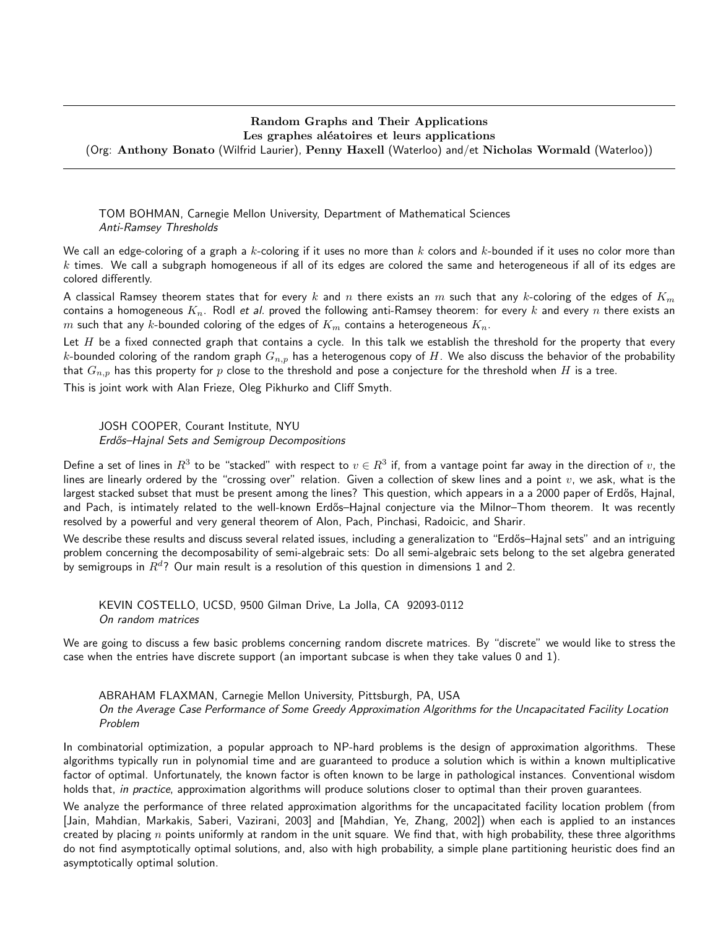## Random Graphs and Their Applications Les graphes aléatoires et leurs applications

(Org: Anthony Bonato (Wilfrid Laurier), Penny Haxell (Waterloo) and/et Nicholas Wormald (Waterloo))

TOM BOHMAN, Carnegie Mellon University, Department of Mathematical Sciences Anti-Ramsey Thresholds

We call an edge-coloring of a graph a  $k$ -coloring if it uses no more than  $k$  colors and  $k$ -bounded if it uses no color more than  $k$  times. We call a subgraph homogeneous if all of its edges are colored the same and heterogeneous if all of its edges are colored differently.

A classical Ramsey theorem states that for every k and n there exists an m such that any k-coloring of the edges of  $K_m$ contains a homogeneous  $K_n$ . Rodl et al. proved the following anti-Ramsey theorem: for every k and every n there exists an m such that any k-bounded coloring of the edges of  $K_m$  contains a heterogeneous  $K_n$ .

Let  $H$  be a fixed connected graph that contains a cycle. In this talk we establish the threshold for the property that every k-bounded coloring of the random graph  $G_{n,p}$  has a heterogenous copy of H. We also discuss the behavior of the probability that  $G_{n,p}$  has this property for p close to the threshold and pose a conjecture for the threshold when H is a tree.

This is joint work with Alan Frieze, Oleg Pikhurko and Cliff Smyth.

JOSH COOPER, Courant Institute, NYU Erdős–Hajnal Sets and Semigroup Decompositions

Define a set of lines in  $R^3$  to be "stacked" with respect to  $v\in R^3$  if, from a vantage point far away in the direction of  $v$ , the lines are linearly ordered by the "crossing over" relation. Given a collection of skew lines and a point  $v$ , we ask, what is the largest stacked subset that must be present among the lines? This question, which appears in a a 2000 paper of Erdős, Hajnal, and Pach, is intimately related to the well-known Erdős–Hajnal conjecture via the Milnor–Thom theorem. It was recently resolved by a powerful and very general theorem of Alon, Pach, Pinchasi, Radoicic, and Sharir.

We describe these results and discuss several related issues, including a generalization to "Erdős–Hajnal sets" and an intriguing problem concerning the decomposability of semi-algebraic sets: Do all semi-algebraic sets belong to the set algebra generated by semigroups in  $R^d$ ? Our main result is a resolution of this question in dimensions 1 and 2.

KEVIN COSTELLO, UCSD, 9500 Gilman Drive, La Jolla, CA 92093-0112 On random matrices

We are going to discuss a few basic problems concerning random discrete matrices. By "discrete" we would like to stress the case when the entries have discrete support (an important subcase is when they take values 0 and 1).

ABRAHAM FLAXMAN, Carnegie Mellon University, Pittsburgh, PA, USA On the Average Case Performance of Some Greedy Approximation Algorithms for the Uncapacitated Facility Location Problem

In combinatorial optimization, a popular approach to NP-hard problems is the design of approximation algorithms. These algorithms typically run in polynomial time and are guaranteed to produce a solution which is within a known multiplicative factor of optimal. Unfortunately, the known factor is often known to be large in pathological instances. Conventional wisdom holds that, in practice, approximation algorithms will produce solutions closer to optimal than their proven guarantees.

We analyze the performance of three related approximation algorithms for the uncapacitated facility location problem (from [Jain, Mahdian, Markakis, Saberi, Vazirani, 2003] and [Mahdian, Ye, Zhang, 2002]) when each is applied to an instances created by placing  $n$  points uniformly at random in the unit square. We find that, with high probability, these three algorithms do not find asymptotically optimal solutions, and, also with high probability, a simple plane partitioning heuristic does find an asymptotically optimal solution.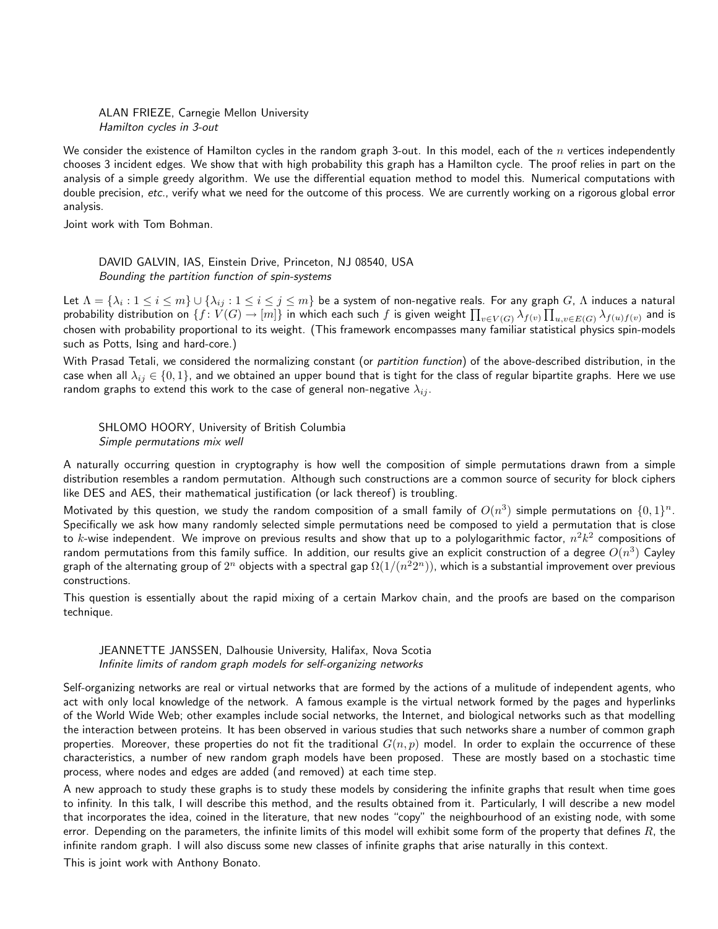ALAN FRIEZE, Carnegie Mellon University Hamilton cycles in 3-out

We consider the existence of Hamilton cycles in the random graph 3-out. In this model, each of the n vertices independently chooses 3 incident edges. We show that with high probability this graph has a Hamilton cycle. The proof relies in part on the analysis of a simple greedy algorithm. We use the differential equation method to model this. Numerical computations with double precision, etc., verify what we need for the outcome of this process. We are currently working on a rigorous global error analysis.

Joint work with Tom Bohman.

DAVID GALVIN, IAS, Einstein Drive, Princeton, NJ 08540, USA Bounding the partition function of spin-systems

Let  $\Lambda=\{\lambda_i:1\le i\le m\}\cup\{\lambda_{ij}:1\le i\le j\le m\}$  be a system of non-negative reals. For any graph  $G$ ,  $\Lambda$  induces a natural probability distribution on  $\{f\colon V(G)\to [m]\}$  in which each such  $f$  is given weight  $\prod_{v\in V(G)}\lambda_{f(v)}\prod_{u,v\in E(G)}\lambda_{f(u)f(v)}$  and is chosen with probability proportional to its weight. (This framework encompasses many familiar statistical physics spin-models such as Potts, Ising and hard-core.)

With Prasad Tetali, we considered the normalizing constant (or partition function) of the above-described distribution, in the case when all  $\lambda_{ij} \in \{0,1\}$ , and we obtained an upper bound that is tight for the class of regular bipartite graphs. Here we use random graphs to extend this work to the case of general non-negative  $\lambda_{ij}$ .

SHLOMO HOORY, University of British Columbia Simple permutations mix well

A naturally occurring question in cryptography is how well the composition of simple permutations drawn from a simple distribution resembles a random permutation. Although such constructions are a common source of security for block ciphers like DES and AES, their mathematical justification (or lack thereof) is troubling.

Motivated by this question, we study the random composition of a small family of  $O(n^3)$  simple permutations on  $\{0,1\}^n.$ Specifically we ask how many randomly selected simple permutations need be composed to yield a permutation that is close to  $k$ -wise independent. We improve on previous results and show that up to a polylogarithmic factor,  $n^2k^2$  compositions of random permutations from this family suffice. In addition, our results give an explicit construction of a degree  $O(n^3)$  Cayley graph of the alternating group of  $2^n$  objects with a spectral gap  $\Omega(1/(n^22^n))$ , which is a substantial improvement over previous constructions.

This question is essentially about the rapid mixing of a certain Markov chain, and the proofs are based on the comparison technique.

JEANNETTE JANSSEN, Dalhousie University, Halifax, Nova Scotia Infinite limits of random graph models for self-organizing networks

Self-organizing networks are real or virtual networks that are formed by the actions of a mulitude of independent agents, who act with only local knowledge of the network. A famous example is the virtual network formed by the pages and hyperlinks of the World Wide Web; other examples include social networks, the Internet, and biological networks such as that modelling the interaction between proteins. It has been observed in various studies that such networks share a number of common graph properties. Moreover, these properties do not fit the traditional  $G(n, p)$  model. In order to explain the occurrence of these characteristics, a number of new random graph models have been proposed. These are mostly based on a stochastic time process, where nodes and edges are added (and removed) at each time step.

A new approach to study these graphs is to study these models by considering the infinite graphs that result when time goes to infinity. In this talk, I will describe this method, and the results obtained from it. Particularly, I will describe a new model that incorporates the idea, coined in the literature, that new nodes "copy" the neighbourhood of an existing node, with some error. Depending on the parameters, the infinite limits of this model will exhibit some form of the property that defines  $R$ , the infinite random graph. I will also discuss some new classes of infinite graphs that arise naturally in this context.

This is joint work with Anthony Bonato.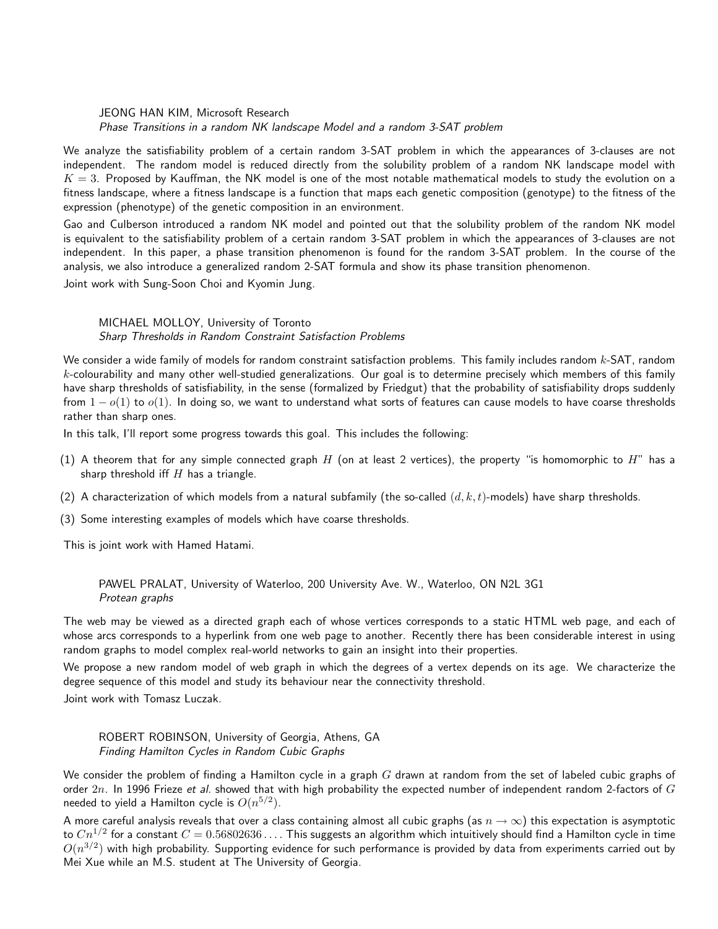JEONG HAN KIM, Microsoft Research Phase Transitions in a random NK landscape Model and a random 3-SAT problem

We analyze the satisfiability problem of a certain random 3-SAT problem in which the appearances of 3-clauses are not independent. The random model is reduced directly from the solubility problem of a random NK landscape model with  $K = 3$ . Proposed by Kauffman, the NK model is one of the most notable mathematical models to study the evolution on a fitness landscape, where a fitness landscape is a function that maps each genetic composition (genotype) to the fitness of the expression (phenotype) of the genetic composition in an environment.

Gao and Culberson introduced a random NK model and pointed out that the solubility problem of the random NK model is equivalent to the satisfiability problem of a certain random 3-SAT problem in which the appearances of 3-clauses are not independent. In this paper, a phase transition phenomenon is found for the random 3-SAT problem. In the course of the analysis, we also introduce a generalized random 2-SAT formula and show its phase transition phenomenon.

Joint work with Sung-Soon Choi and Kyomin Jung.

## MICHAEL MOLLOY, University of Toronto Sharp Thresholds in Random Constraint Satisfaction Problems

We consider a wide family of models for random constraint satisfaction problems. This family includes random k-SAT, random  $k$ -colourability and many other well-studied generalizations. Our goal is to determine precisely which members of this family have sharp thresholds of satisfiability, in the sense (formalized by Friedgut) that the probability of satisfiability drops suddenly from  $1 - o(1)$  to  $o(1)$ . In doing so, we want to understand what sorts of features can cause models to have coarse thresholds rather than sharp ones.

In this talk, I'll report some progress towards this goal. This includes the following:

- (1) A theorem that for any simple connected graph H (on at least 2 vertices), the property "is homomorphic to H" has a sharp threshold iff  $H$  has a triangle.
- (2) A characterization of which models from a natural subfamily (the so-called  $(d, k, t)$ -models) have sharp thresholds.
- (3) Some interesting examples of models which have coarse thresholds.

This is joint work with Hamed Hatami.

PAWEL PRALAT, University of Waterloo, 200 University Ave. W., Waterloo, ON N2L 3G1 Protean graphs

The web may be viewed as a directed graph each of whose vertices corresponds to a static HTML web page, and each of whose arcs corresponds to a hyperlink from one web page to another. Recently there has been considerable interest in using random graphs to model complex real-world networks to gain an insight into their properties.

We propose a new random model of web graph in which the degrees of a vertex depends on its age. We characterize the degree sequence of this model and study its behaviour near the connectivity threshold.

Joint work with Tomasz Luczak.

ROBERT ROBINSON, University of Georgia, Athens, GA Finding Hamilton Cycles in Random Cubic Graphs

We consider the problem of finding a Hamilton cycle in a graph  $G$  drawn at random from the set of labeled cubic graphs of order  $2n$ . In 1996 Frieze et al. showed that with high probability the expected number of independent random 2-factors of  $G$ needed to yield a Hamilton cycle is  $O(n^{5/2})$ .

A more careful analysis reveals that over a class containing almost all cubic graphs (as  $n \to \infty$ ) this expectation is asymptotic to  $Cn^{1/2}$  for a constant  $C=0.56802636\ldots$  . This suggests an algorithm which intuitively should find a Hamilton cycle in time  $O(n^{3/2})$  with high probability. Supporting evidence for such performance is provided by data from experiments carried out by Mei Xue while an M.S. student at The University of Georgia.